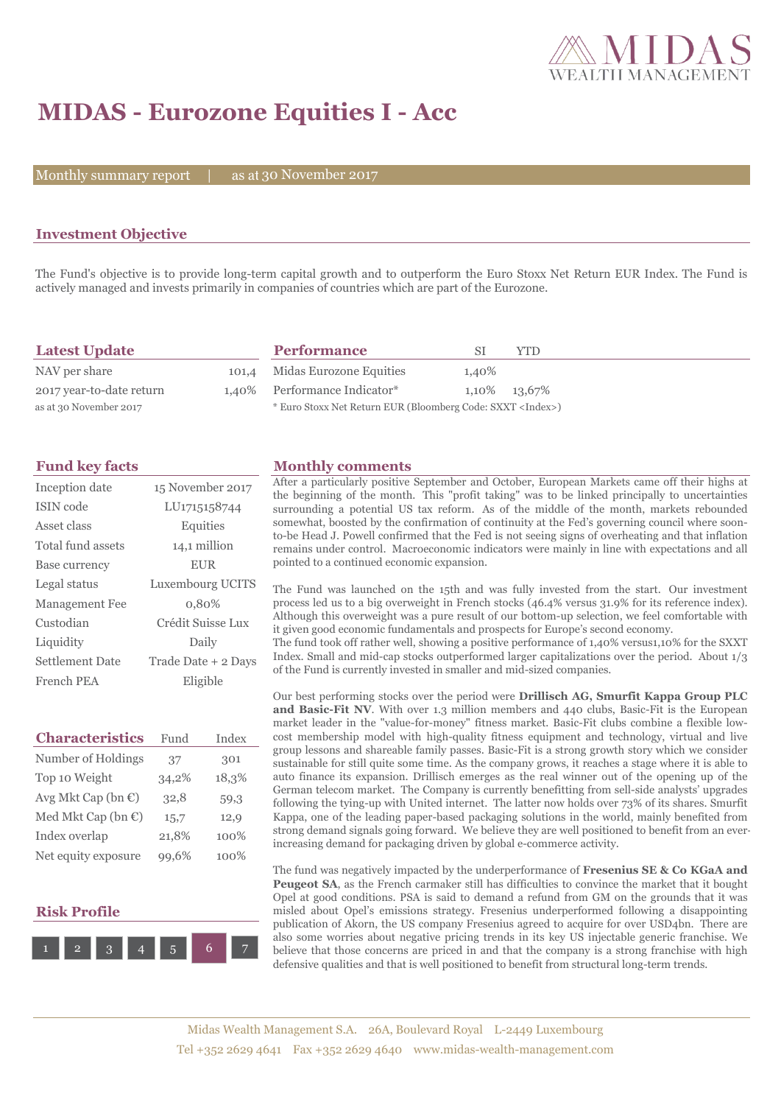

## **MIDAS - Eurozone Equities I - Acc**

Monthly summary report  $|$ 

as at 30 November 2017

### **Investment Objective**

The Fund's objective is to provide long-term capital growth and to outperform the Euro Stoxx Net Return EUR Index. The Fund is actively managed and invests primarily in companies of countries which are part of the Eurozone.

| <b>Latest Update</b>     | <b>Performance</b>                                                 |                | YTD |
|--------------------------|--------------------------------------------------------------------|----------------|-----|
| NAV per share            | 101,4 Midas Eurozone Equities                                      | 1.40%          |     |
| 2017 year-to-date return | 1.40% Performance Indicator*                                       | 1,10\% 13,67\% |     |
| as at 30 November 2017   | * Euro Stoxx Net Return EUR (Bloomberg Code: SXXT <index>)</index> |                |     |

| Inception date         | 15 November 2017    |
|------------------------|---------------------|
| ISIN code              | LU1715158744        |
| Asset class            | Equities            |
| Total fund assets      | 14,1 million        |
| Base currency          | <b>EUR</b>          |
| Legal status           | Luxembourg UCITS    |
| Management Fee         | 0,80%               |
| Custodian              | Crédit Suisse Lux   |
| Liquidity              | Daily               |
| <b>Settlement Date</b> | Trade Date + 2 Days |
| French PEA             | Eligible            |

| <b>Characteristics</b>         | Fund  | Index |
|--------------------------------|-------|-------|
| Number of Holdings             | 37    | 301   |
| Top 10 Weight                  | 34,2% | 18,3% |
| Avg Mkt Cap (bn $\mathbb{C}$ ) | 32,8  | 59,3  |
| Med Mkt Cap (bn $\mathbb{C}$ ) | 15,7  | 12,9  |
| Index overlap                  | 21,8% | 100%  |
| Net equity exposure            | 6%    | 100%  |

#### **Risk Profile**



#### **Fund key facts Monthly comments**

After a particularly positive September and October, European Markets came off their highs at the beginning of the month. This "profit taking" was to be linked principally to uncertainties surrounding a potential US tax reform. As of the middle of the month, markets rebounded somewhat, boosted by the confirmation of continuity at the Fed's governing council where soonto-be Head J. Powell confirmed that the Fed is not seeing signs of overheating and that inflation remains under control. Macroeconomic indicators were mainly in line with expectations and all pointed to a continued economic expansion.

The Fund was launched on the 15th and was fully invested from the start. Our investment process led us to a big overweight in French stocks (46.4% versus 31.9% for its reference index). Although this overweight was a pure result of our bottom-up selection, we feel comfortable with it given good economic fundamentals and prospects for Europe's second economy.

The fund took off rather well, showing a positive performance of 1,40% versus1,10% for the SXXT Index. Small and mid-cap stocks outperformed larger capitalizations over the period. About 1/3 of the Fund is currently invested in smaller and mid-sized companies.

Our best performing stocks over the period were **Drillisch AG, Smurfit Kappa Group PLC and Basic-Fit NV**. With over 1.3 million members and 440 clubs, Basic-Fit is the European market leader in the "value-for-money" fitness market. Basic-Fit clubs combine a flexible lowcost membership model with high-quality fitness equipment and technology, virtual and live group lessons and shareable family passes. Basic-Fit is a strong growth story which we consider sustainable for still quite some time. As the company grows, it reaches a stage where it is able to auto finance its expansion. Drillisch emerges as the real winner out of the opening up of the German telecom market. The Company is currently benefitting from sell-side analysts' upgrades following the tying-up with United internet. The latter now holds over 73% of its shares. Smurfit Kappa, one of the leading paper-based packaging solutions in the world, mainly benefited from strong demand signals going forward. We believe they are well positioned to benefit from an everincreasing demand for packaging driven by global e-commerce activity.

The fund was negatively impacted by the underperformance of **Fresenius SE & Co KGaA and Peugeot SA**, as the French carmaker still has difficulties to convince the market that it bought Opel at good conditions. PSA is said to demand a refund from GM on the grounds that it was misled about Opel's emissions strategy. Fresenius underperformed following a disappointing publication of Akorn, the US company Fresenius agreed to acquire for over USD4bn. There are also some worries about negative pricing trends in its key US injectable generic franchise. We believe that those concerns are priced in and that the company is a strong franchise with high defensive qualities and that is well positioned to benefit from structural long-term trends.